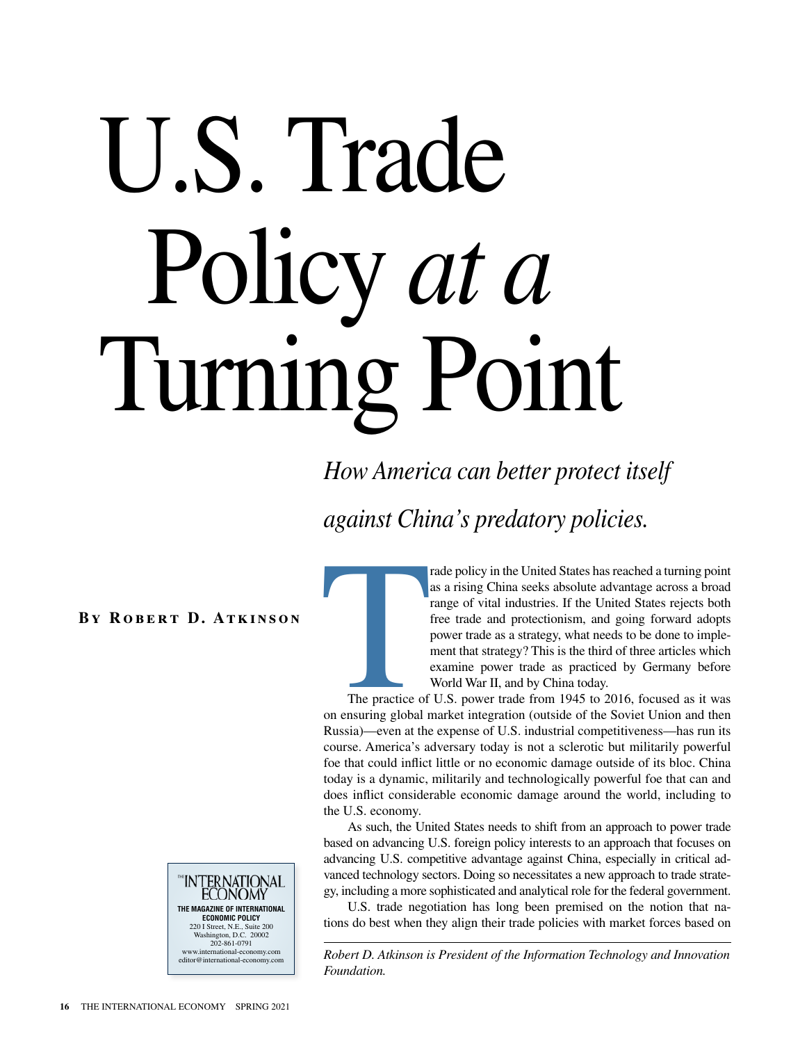# U.S. Trade Policy *at a* Turning Point

*How America can better protect itself* 

*against China's predatory policies.*

**By Robert D. Atkinson**



rade policy in the United States has reached a turning point as a rising China seeks absolute advantage across a broad range of vital industries. If the United States rejects both free trade and protectionism, and going forward adopts power trade as a strategy, what needs to be done to implement that strategy? This is the third of three articles which examine power trade as practiced by Germany before World War II, and by China today.

The practice of on ensuring global r The practice of U.S. power trade from 1945 to 2016, focused as it was on ensuring global market integration (outside of the Soviet Union and then Russia)—even at the expense of U.S. industrial competitiveness—has run its course. America's adversary today is not a sclerotic but militarily powerful foe that could inflict little or no economic damage outside of its bloc. China today is a dynamic, militarily and technologically powerful foe that can and does inflict considerable economic damage around the world, including to the U.S. economy.

As such, the United States needs to shift from an approach to power trade based on advancing U.S. foreign policy interests to an approach that focuses on advancing U.S. competitive advantage against China, especially in critical advanced technology sectors. Doing so necessitates a new approach to trade strategy, including a more sophisticated and analytical role for the federal government.

U.S. trade negotiation has long been premised on the notion that nations do best when they align their trade policies with market forces based on

*Robert D. Atkinson is President of the Information Technology and Innovation Foundation.*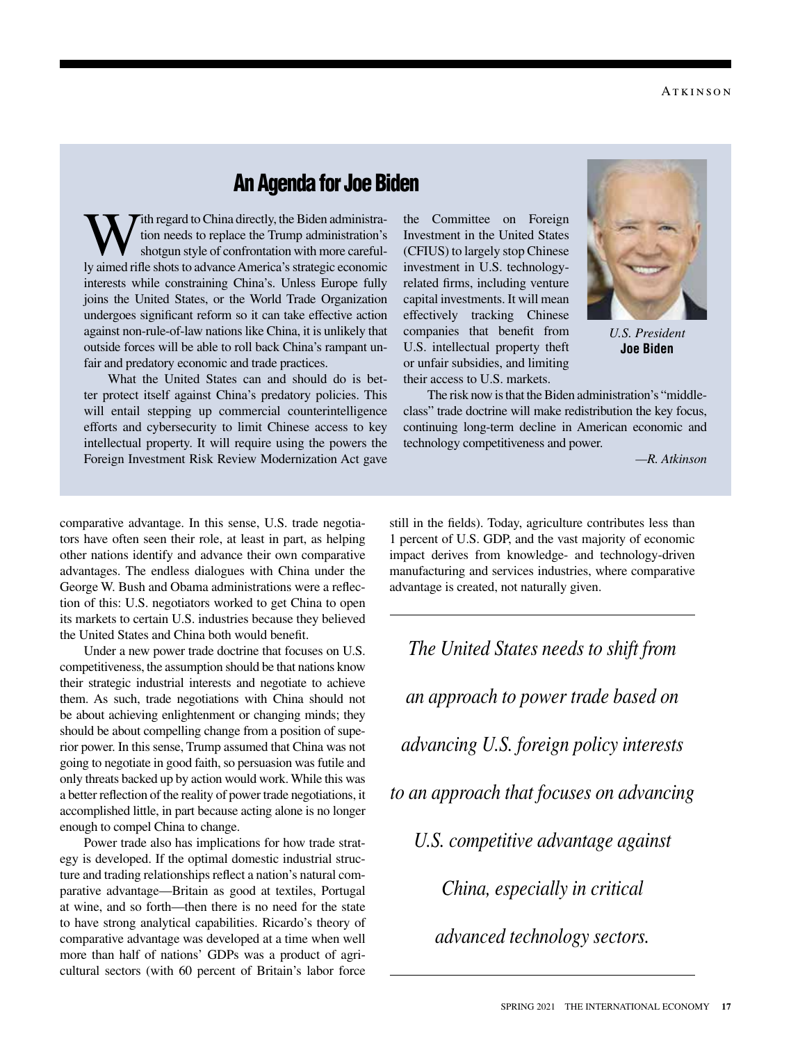# An Agenda for Joe Biden

Tith regard to China directly, the Biden administration needs to replace the Trump administration's shotgun style of confrontation with more carefully aimed rifle shots to advance America's strategic economic interests while constraining China's. Unless Europe fully joins the United States, or the World Trade Organization undergoes significant reform so it can take effective action against non-rule-of-law nations like China, it is unlikely that outside forces will be able to roll back China's rampant unfair and predatory economic and trade practices.

What the United States can and should do is better protect itself against China's predatory policies. This will entail stepping up commercial counterintelligence efforts and cybersecurity to limit Chinese access to key intellectual property. It will require using the powers the Foreign Investment Risk Review Modernization Act gave

the Committee on Foreign Investment in the United States (CFIUS) to largely stop Chinese investment in U.S. technologyrelated firms, including venture capital investments. It will mean effectively tracking Chinese companies that benefit from U.S. intellectual property theft or unfair subsidies, and limiting their access to U.S. markets.



*U.S. President*  **Joe Biden**

The risk now is that the Biden administration's "middleclass" trade doctrine will make redistribution the key focus, continuing long-term decline in American economic and technology competitiveness and power.

*—R. Atkinson*

comparative advantage. In this sense, U.S. trade negotiators have often seen their role, at least in part, as helping other nations identify and advance their own comparative advantages. The endless dialogues with China under the George W. Bush and Obama administrations were a reflection of this: U.S. negotiators worked to get China to open its markets to certain U.S. industries because they believed the United States and China both would benefit.

Under a new power trade doctrine that focuses on U.S. competitiveness, the assumption should be that nations know their strategic industrial interests and negotiate to achieve them. As such, trade negotiations with China should not be about achieving enlightenment or changing minds; they should be about compelling change from a position of superior power. In this sense, Trump assumed that China was not going to negotiate in good faith, so persuasion was futile and only threats backed up by action would work. While this was a better reflection of the reality of power trade negotiations, it accomplished little, in part because acting alone is no longer enough to compel China to change.

Power trade also has implications for how trade strategy is developed. If the optimal domestic industrial structure and trading relationships reflect a nation's natural comparative advantage—Britain as good at textiles, Portugal at wine, and so forth—then there is no need for the state to have strong analytical capabilities. Ricardo's theory of comparative advantage was developed at a time when well more than half of nations' GDPs was a product of agricultural sectors (with 60 percent of Britain's labor force still in the fields). Today, agriculture contributes less than 1 percent of U.S. GDP, and the vast majority of economic impact derives from knowledge- and technology-driven manufacturing and services industries, where comparative advantage is created, not naturally given.

*The United States needs to shift from an approach to power trade based on advancing U.S. foreign policy interests to an approach that focuses on advancing U.S. competitive advantage against China, especially in critical advanced technology sectors.*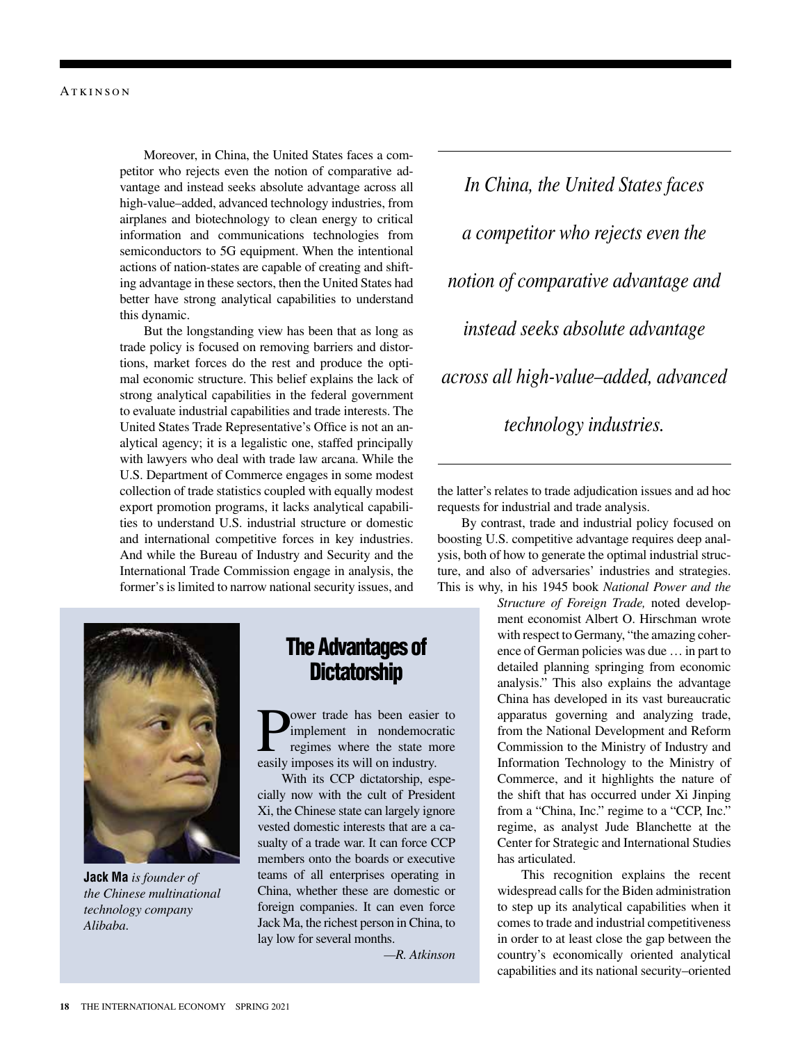Moreover, in China, the United States faces a competitor who rejects even the notion of comparative advantage and instead seeks absolute advantage across all high-value–added, advanced technology industries, from airplanes and biotechnology to clean energy to critical information and communications technologies from semiconductors to 5G equipment. When the intentional actions of nation-states are capable of creating and shifting advantage in these sectors, then the United States had better have strong analytical capabilities to understand this dynamic.

But the longstanding view has been that as long as trade policy is focused on removing barriers and distortions, market forces do the rest and produce the optimal economic structure. This belief explains the lack of strong analytical capabilities in the federal government to evaluate industrial capabilities and trade interests. The United States Trade Representative's Office is not an analytical agency; it is a legalistic one, staffed principally with lawyers who deal with trade law arcana. While the U.S. Department of Commerce engages in some modest collection of trade statistics coupled with equally modest export promotion programs, it lacks analytical capabilities to understand U.S. industrial structure or domestic and international competitive forces in key industries. And while the Bureau of Industry and Security and the International Trade Commission engage in analysis, the former's is limited to narrow national security issues, and



**Jack Ma** *is founder of the Chinese multinational technology company Alibaba.*

# The Advantages of **Dictatorship**

**P**ower trade has been easier to<br>
regimes where the state more<br>
registive imposes its will on industry implement in nondemocratic easily imposes its will on industry.

With its CCP dictatorship, especially now with the cult of President Xi, the Chinese state can largely ignore vested domestic interests that are a casualty of a trade war. It can force CCP members onto the boards or executive teams of all enterprises operating in China, whether these are domestic or foreign companies. It can even force Jack Ma, the richest person in China, to lay low for several months.

*—R. Atkinson*

*In China, the United States faces a competitor who rejects even the notion of comparative advantage and instead seeks absolute advantage across all high-value–added, advanced technology industries.*

the latter's relates to trade adjudication issues and ad hoc requests for industrial and trade analysis.

By contrast, trade and industrial policy focused on boosting U.S. competitive advantage requires deep analysis, both of how to generate the optimal industrial structure, and also of adversaries' industries and strategies. This is why, in his 1945 book *National Power and the* 

*Structure of Foreign Trade,* noted development economist Albert O. Hirschman wrote with respect to Germany, "the amazing coherence of German policies was due … in part to detailed planning springing from economic analysis." This also explains the advantage China has developed in its vast bureaucratic apparatus governing and analyzing trade, from the National Development and Reform Commission to the Ministry of Industry and Information Technology to the Ministry of Commerce, and it highlights the nature of the shift that has occurred under Xi Jinping from a "China, Inc." regime to a "CCP, Inc." regime, as analyst Jude Blanchette at the Center for Strategic and International Studies has articulated.

This recognition explains the recent widespread calls for the Biden administration to step up its analytical capabilities when it comes to trade and industrial competitiveness in order to at least close the gap between the country's economically oriented analytical capabilities and its national security–oriented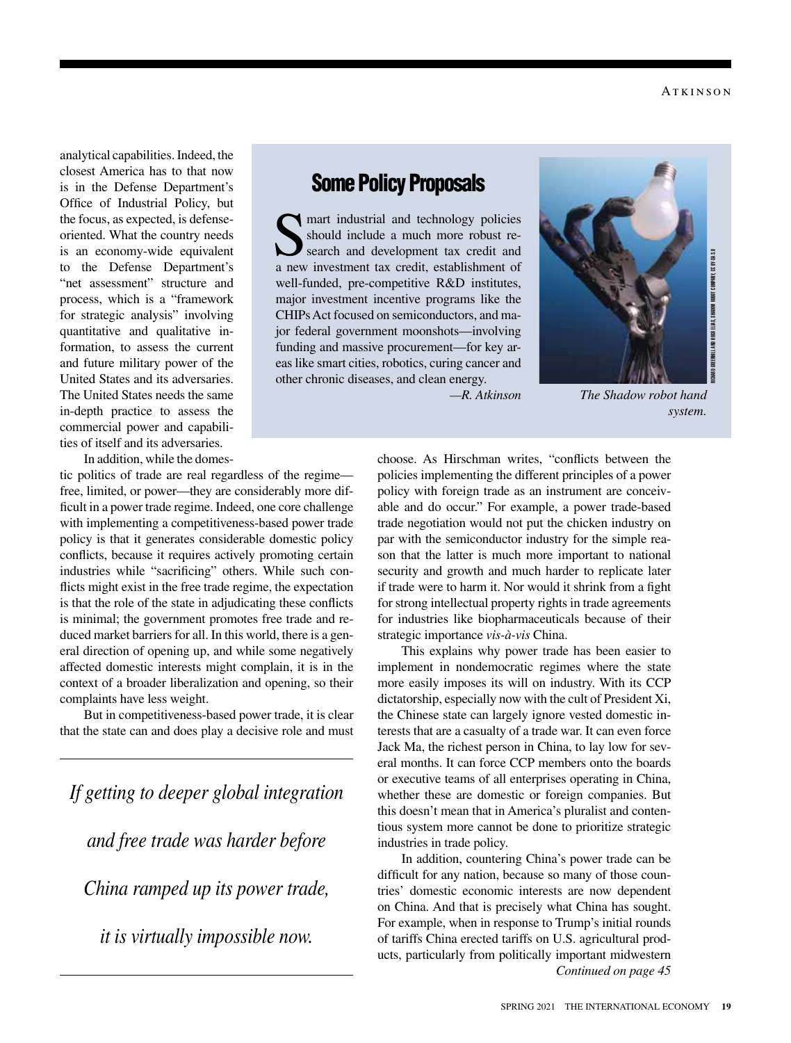analytical capabilities. Indeed, the closest America has to that now is in the Defense Department's Office of Industrial Policy, but the focus, as expected, is defenseoriented. What the country needs is an economy-wide equivalent to the Defense Department's "net assessment" structure and process, which is a "framework for strategic analysis" involving quantitative and qualitative information, to assess the current and future military power of the United States and its adversaries. The United States needs the same in-depth practice to assess the commercial power and capabilities of itself and its adversaries.

In addition, while the domes-

tic politics of trade are real regardless of the regime free, limited, or power—they are considerably more difficult in a power trade regime. Indeed, one core challenge with implementing a competitiveness-based power trade policy is that it generates considerable domestic policy conflicts, because it requires actively promoting certain industries while "sacrificing" others. While such conflicts might exist in the free trade regime, the expectation is that the role of the state in adjudicating these conflicts is minimal; the government promotes free trade and reduced market barriers for all. In this world, there is a general direction of opening up, and while some negatively affected domestic interests might complain, it is in the context of a broader liberalization and opening, so their complaints have less weight.

But in competitiveness-based power trade, it is clear that the state can and does play a decisive role and must

*If getting to deeper global integration and free trade was harder before China ramped up its power trade, it is virtually impossible now.*

# Some Policy Proposals

mart industrial and technology policies should include a much more robust research and development tax credit and a new investment tax credit, establishment of well-funded, pre-competitive R&D institutes, major investment incentive programs like the CHIPs Act focused on semiconductors, and major federal government moonshots—involving funding and massive procurement—for key areas like smart cities, robotics, curing cancer and other chronic diseases, and clean energy.



*—R. Atkinson The Shadow robot hand system.*

choose. As Hirschman writes, "conflicts between the policies implementing the different principles of a power policy with foreign trade as an instrument are conceivable and do occur." For example, a power trade-based trade negotiation would not put the chicken industry on par with the semiconductor industry for the simple reason that the latter is much more important to national security and growth and much harder to replicate later if trade were to harm it. Nor would it shrink from a fight for strong intellectual property rights in trade agreements for industries like biopharmaceuticals because of their strategic importance *vis-à-vis* China.

This explains why power trade has been easier to implement in nondemocratic regimes where the state more easily imposes its will on industry. With its CCP dictatorship, especially now with the cult of President Xi, the Chinese state can largely ignore vested domestic interests that are a casualty of a trade war. It can even force Jack Ma, the richest person in China, to lay low for several months. It can force CCP members onto the boards or executive teams of all enterprises operating in China, whether these are domestic or foreign companies. But this doesn't mean that in America's pluralist and contentious system more cannot be done to prioritize strategic industries in trade policy.

In addition, countering China's power trade can be difficult for any nation, because so many of those countries' domestic economic interests are now dependent on China. And that is precisely what China has sought. For example, when in response to Trump's initial rounds of tariffs China erected tariffs on U.S. agricultural products, particularly from politically important midwestern *Continued on page 45*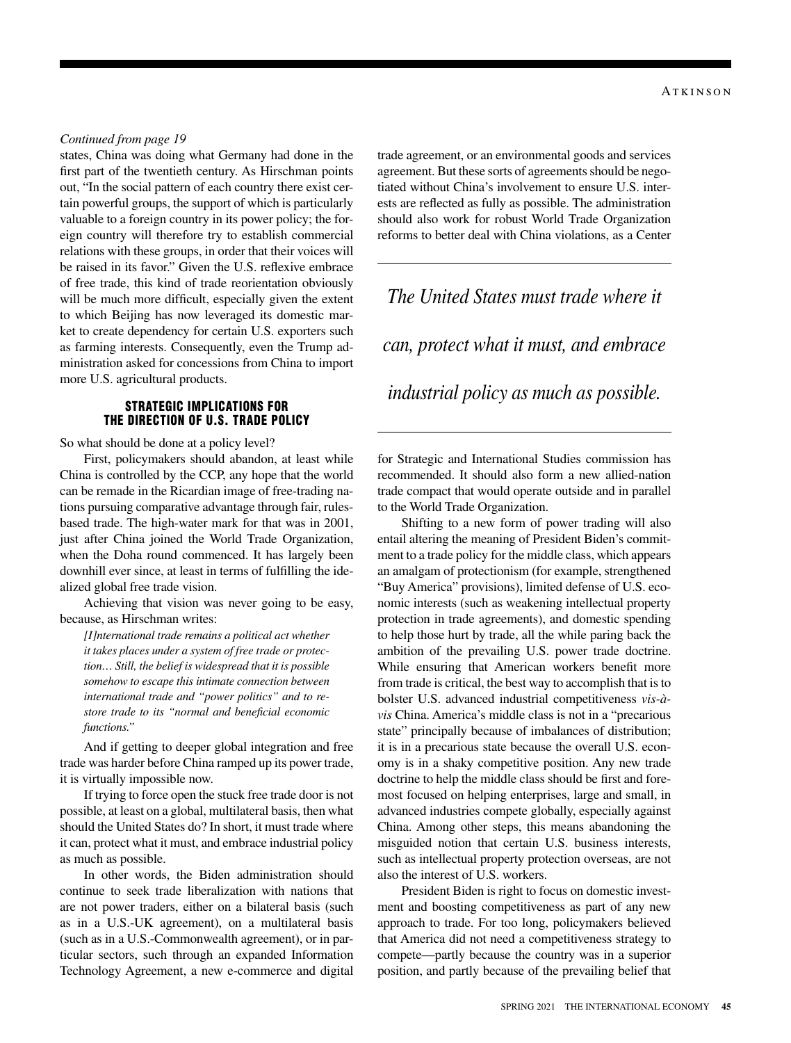#### *Continued from page 19*

states, China was doing what Germany had done in the first part of the twentieth century. As Hirschman points out, "In the social pattern of each country there exist certain powerful groups, the support of which is particularly valuable to a foreign country in its power policy; the foreign country will therefore try to establish commercial relations with these groups, in order that their voices will be raised in its favor." Given the U.S. reflexive embrace of free trade, this kind of trade reorientation obviously will be much more difficult, especially given the extent to which Beijing has now leveraged its domestic market to create dependency for certain U.S. exporters such as farming interests. Consequently, even the Trump administration asked for concessions from China to import more U.S. agricultural products.

#### STRATEGIC IMPLICATIONS FOR THE DIRECTION OF U.S. TRADE POLICY

So what should be done at a policy level?

First, policymakers should abandon, at least while China is controlled by the CCP, any hope that the world can be remade in the Ricardian image of free-trading nations pursuing comparative advantage through fair, rulesbased trade. The high-water mark for that was in 2001, just after China joined the World Trade Organization, when the Doha round commenced. It has largely been downhill ever since, at least in terms of fulfilling the idealized global free trade vision.

Achieving that vision was never going to be easy, because, as Hirschman writes:

*[I]nternational trade remains a political act whether it takes places under a system of free trade or protection… Still, the belief is widespread that it is possible somehow to escape this intimate connection between international trade and "power politics" and to restore trade to its "normal and beneficial economic functions."*

And if getting to deeper global integration and free trade was harder before China ramped up its power trade, it is virtually impossible now.

If trying to force open the stuck free trade door is not possible, at least on a global, multilateral basis, then what should the United States do? In short, it must trade where it can, protect what it must, and embrace industrial policy as much as possible.

In other words, the Biden administration should continue to seek trade liberalization with nations that are not power traders, either on a bilateral basis (such as in a U.S.-UK agreement), on a multilateral basis (such as in a U.S.-Commonwealth agreement), or in particular sectors, such through an expanded Information Technology Agreement, a new e-commerce and digital

trade agreement, or an environmental goods and services agreement. But these sorts of agreements should be negotiated without China's involvement to ensure U.S. interests are reflected as fully as possible. The administration should also work for robust World Trade Organization reforms to better deal with China violations, as a Center

## *The United States must trade where it*

*can, protect what it must, and embrace* 

### *industrial policy as much as possible.*

for Strategic and International Studies commission has recommended. It should also form a new allied-nation trade compact that would operate outside and in parallel to the World Trade Organization.

Shifting to a new form of power trading will also entail altering the meaning of President Biden's commitment to a trade policy for the middle class, which appears an amalgam of protectionism (for example, strengthened "Buy America" provisions), limited defense of U.S. economic interests (such as weakening intellectual property protection in trade agreements), and domestic spending to help those hurt by trade, all the while paring back the ambition of the prevailing U.S. power trade doctrine. While ensuring that American workers benefit more from trade is critical, the best way to accomplish that is to bolster U.S. advanced industrial competitiveness *vis-àvis* China. America's middle class is not in a "precarious state" principally because of imbalances of distribution; it is in a precarious state because the overall U.S. economy is in a shaky competitive position. Any new trade doctrine to help the middle class should be first and foremost focused on helping enterprises, large and small, in advanced industries compete globally, especially against China. Among other steps, this means abandoning the misguided notion that certain U.S. business interests, such as intellectual property protection overseas, are not also the interest of U.S. workers.

President Biden is right to focus on domestic investment and boosting competitiveness as part of any new approach to trade. For too long, policymakers believed that America did not need a competitiveness strategy to compete—partly because the country was in a superior position, and partly because of the prevailing belief that